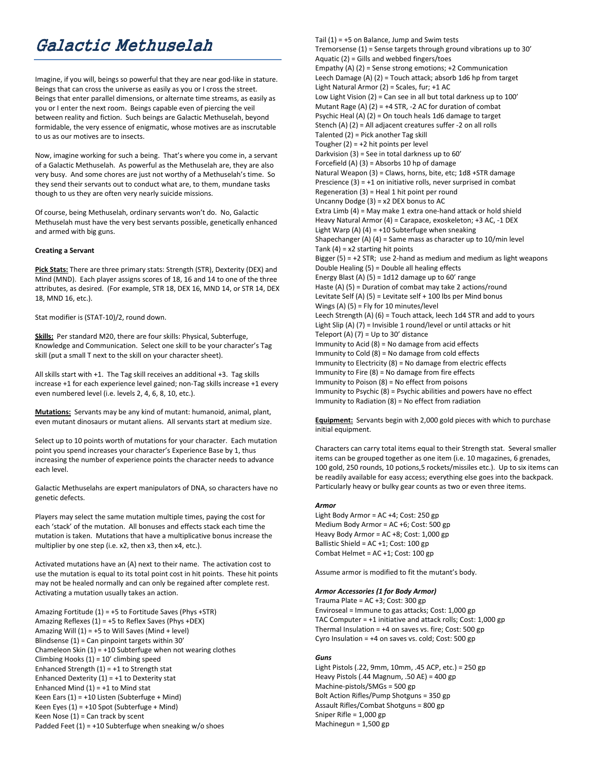# Galactic Methuselah

Imagine, if you will, beings so powerful that they are near god-like in stature. Beings that can cross the universe as easily as you or I cross the street. Beings that enter parallel dimensions, or alternate time streams, as easily as you or I enter the next room. Beings capable even of piercing the veil between reality and fiction. Such beings are Galactic Methuselah, beyond formidable, the very essence of enigmatic, whose motives are as inscrutable to us as our motives are to insects.

Now, imagine working for such a being. That's where you come in, a servant of a Galactic Methuselah. As powerful as the Methuselah are, they are also very busy. And some chores are just not worthy of a Methuselah's time. So they send their servants out to conduct what are, to them, mundane tasks though to us they are often very nearly suicide missions.

Of course, being Methuselah, ordinary servants won't do. No, Galactic Methuselah must have the very best servants possible, genetically enhanced and armed with big guns.

#### **Creating a Servant**

**Pick Stats:** There are three primary stats: Strength (STR), Dexterity (DEX) and Mind (MND). Each player assigns scores of 18, 16 and 14 to one of the three attributes, as desired. (For example, STR 18, DEX 16, MND 14, or STR 14, DEX 18, MND 16, etc.).

Stat modifier is (STAT-10)/2, round down.

**Skills:** Per standard M20, there are four skills: Physical, Subterfuge, Knowledge and Communication. Select one skill to be your character's Tag skill (put a small T next to the skill on your character sheet).

All skills start with +1. The Tag skill receives an additional +3. Tag skills increase +1 for each experience level gained; non-Tag skills increase +1 every even numbered level (i.e. levels 2, 4, 6, 8, 10, etc.).

**Mutations:** Servants may be any kind of mutant: humanoid, animal, plant, even mutant dinosaurs or mutant aliens. All servants start at medium size.

Select up to 10 points worth of mutations for your character. Each mutation point you spend increases your character's Experience Base by 1, thus increasing the number of experience points the character needs to advance each level.

Galactic Methuselahs are expert manipulators of DNA, so characters have no genetic defects.

Players may select the same mutation multiple times, paying the cost for each 'stack' of the mutation. All bonuses and effects stack each time the mutation is taken. Mutations that have a multiplicative bonus increase the multiplier by one step (i.e. x2, then x3, then x4, etc.).

Activated mutations have an (A) next to their name. The activation cost to use the mutation is equal to its total point cost in hit points. These hit points may not be healed normally and can only be regained after complete rest. Activating a mutation usually takes an action.

Amazing Fortitude (1) = +5 to Fortitude Saves (Phys +STR) Amazing Reflexes (1) = +5 to Reflex Saves (Phys +DEX) Amazing Will  $(1) = +5$  to Will Saves (Mind + level) Blindsense (1) = Can pinpoint targets within 30' Chameleon Skin  $(1) = +10$  Subterfuge when not wearing clothes Climbing Hooks (1) = 10' climbing speed Enhanced Strength  $(1) = +1$  to Strength stat Enhanced Dexterity  $(1) = +1$  to Dexterity stat Enhanced Mind  $(1) = +1$  to Mind stat Keen Ears (1) = +10 Listen (Subterfuge + Mind) Keen Eyes (1) = +10 Spot (Subterfuge + Mind) Keen Nose  $(1)$  = Can track by scent Padded Feet  $(1) = +10$  Subterfuge when sneaking w/o shoes

Tail  $(1) = +5$  on Balance, Jump and Swim tests Tremorsense (1) = Sense targets through ground vibrations up to 30' Aquatic (2) = Gills and webbed fingers/toes Empathy (A) (2) = Sense strong emotions; +2 Communication Leech Damage (A) (2) = Touch attack; absorb 1d6 hp from target Light Natural Armor (2) = Scales, fur; +1 AC Low Light Vision (2) = Can see in all but total darkness up to 100' Mutant Rage (A)  $(2) = +4$  STR, -2 AC for duration of combat Psychic Heal (A) (2) = On touch heals 1d6 damage to target Stench (A) (2) = All adjacent creatures suffer -2 on all rolls Talented (2) = Pick another Tag skill Tougher  $(2) = +2$  hit points per level Darkvision (3) = See in total darkness up to 60' Forcefield  $(A)$   $(3)$  = Absorbs 10 hp of damage Natural Weapon (3) = Claws, horns, bite, etc; 1d8 +STR damage Prescience  $(3) = +1$  on initiative rolls, never surprised in combat Regeneration (3) = Heal 1 hit point per round Uncanny Dodge (3) = x2 DEX bonus to AC Extra Limb (4) = May make 1 extra one-hand attack or hold shield Heavy Natural Armor (4) = Carapace, exoskeleton; +3 AC, -1 DEX Light Warp (A)  $(4) = +10$  Subterfuge when sneaking Shapechanger (A) (4) = Same mass as character up to 10/min level Tank  $(4) = x2$  starting hit points Bigger  $(5) = +2$  STR; use 2-hand as medium and medium as light weapons Double Healing (5) = Double all healing effects Energy Blast (A)  $(5)$  = 1d12 damage up to 60' range Haste (A) (5) = Duration of combat may take 2 actions/round Levitate Self (A)  $(5)$  = Levitate self + 100 lbs per Mind bonus Wings (A) (5) = Fly for 10 minutes/level Leech Strength (A) (6) = Touch attack, leech 1d4 STR and add to yours Light Slip (A) (7) = Invisible 1 round/level or until attacks or hit Teleport (A)  $(7)$  = Up to 30' distance Immunity to Acid (8) = No damage from acid effects Immunity to Cold (8) = No damage from cold effects Immunity to Electricity (8) = No damage from electric effects Immunity to Fire (8) = No damage from fire effects Immunity to Poison (8) = No effect from poisons Immunity to Psychic (8) = Psychic abilities and powers have no effect Immunity to Radiation (8) = No effect from radiation

**Equipment:** Servants begin with 2,000 gold pieces with which to purchase initial equipment.

Characters can carry total items equal to their Strength stat. Several smaller items can be grouped together as one item (i.e. 10 magazines, 6 grenades, 100 gold, 250 rounds, 10 potions,5 rockets/missiles etc.). Up to six items can be readily available for easy access; everything else goes into the backpack. Particularly heavy or bulky gear counts as two or even three items.

#### *Armor*

Light Body Armor = AC +4; Cost: 250 gp Medium Body Armor = AC +6; Cost: 500 gp Heavy Body Armor = AC +8; Cost: 1,000 gp Ballistic Shield = AC +1; Cost: 100 gp Combat Helmet = AC +1; Cost: 100 gp

Assume armor is modified to fit the mutant's body.

#### *Armor Accessories (1 for Body Armor)*

Trauma Plate = AC +3; Cost: 300 gp Enviroseal = Immune to gas attacks; Cost: 1,000 gp TAC Computer = +1 initiative and attack rolls; Cost: 1,000 gp Thermal Insulation =  $+4$  on saves vs. fire; Cost: 500 gp Cyro Insulation = +4 on saves vs. cold; Cost: 500 gp

## *Guns*

Light Pistols (.22, 9mm, 10mm, .45 ACP, etc.) = 250 gp Heavy Pistols (.44 Magnum, .50 AE) =  $400$  gp Machine-pistols/SMGs = 500 gp Bolt Action Rifles/Pump Shotguns = 350 gp Assault Rifles/Combat Shotguns = 800 gp Sniper Rifle = 1,000 gp Machinegun = 1,500 gp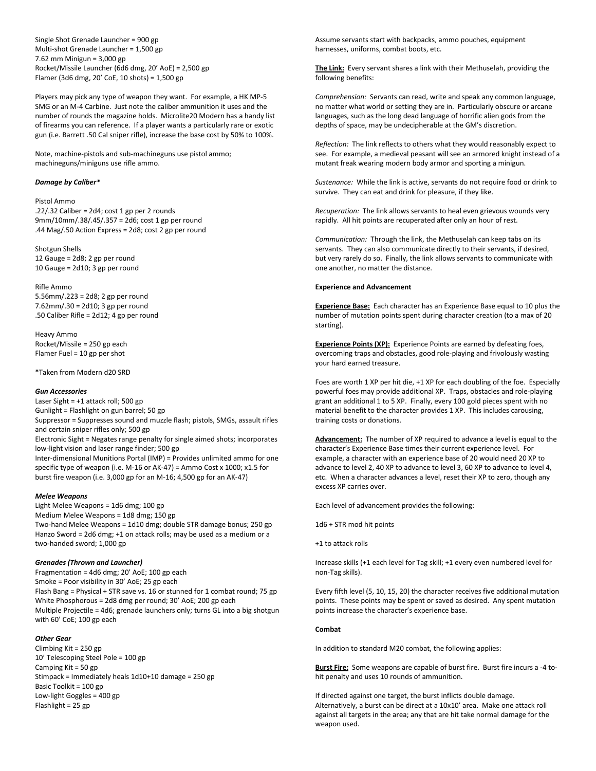Single Shot Grenade Launcher = 900 gp Multi-shot Grenade Launcher = 1,500 gp 7.62 mm Minigun = 3,000 gp Rocket/Missile Launcher (6d6 dmg, 20' AoE) = 2,500 gp Flamer (3d6 dmg, 20' CoE, 10 shots) = 1,500 gp

Players may pick any type of weapon they want. For example, a HK MP-5 SMG or an M-4 Carbine. Just note the caliber ammunition it uses and the number of rounds the magazine holds. Microlite20 Modern has a handy list of firearms you can reference. If a player wants a particularly rare or exotic gun (i.e. Barrett .50 Cal sniper rifle), increase the base cost by 50% to 100%.

Note, machine-pistols and sub-machineguns use pistol ammo; machineguns/miniguns use rifle ammo.

## *Damage by Caliber\**

#### Pistol Ammo

.22/.32 Caliber =  $2d4$ ; cost 1 gp per 2 rounds 9mm/10mm/.38/.45/.357 = 2d6; cost 1 gp per round .44 Mag/.50 Action Express = 2d8; cost 2 gp per round

Shotgun Shells 12 Gauge = 2d8; 2 gp per round 10 Gauge = 2d10; 3 gp per round

Rifle Ammo 5.56mm/.223 = 2d8; 2 gp per round 7.62mm/.30 = 2d10; 3 gp per round .50 Caliber Rifle = 2d12; 4 gp per round

Heavy Ammo Rocket/Missile = 250 gp each Flamer Fuel = 10 gp per shot

\*Taken from Modern d20 SRD

## *Gun Accessories*

Laser Sight = +1 attack roll; 500 gp Gunlight = Flashlight on gun barrel; 50 gp Suppressor = Suppresses sound and muzzle flash; pistols, SMGs, assault rifles and certain sniper rifles only; 500 gp Electronic Sight = Negates range penalty for single aimed shots; incorporates low-light vision and laser range finder; 500 gp Inter-dimensional Munitions Portal (IMP) = Provides unlimited ammo for one specific type of weapon (i.e. M-16 or AK-47) = Ammo Cost x 1000; x1.5 for burst fire weapon (i.e. 3,000 gp for an M-16; 4,500 gp for an AK-47)

## *Melee Weapons*

Light Melee Weapons = 1d6 dmg; 100 gp Medium Melee Weapons = 1d8 dmg; 150 gp Two-hand Melee Weapons = 1d10 dmg; double STR damage bonus; 250 gp Hanzo Sword = 2d6 dmg; +1 on attack rolls; may be used as a medium or a two-handed sword; 1,000 gp

## *Grenades (Thrown and Launcher)*

Fragmentation = 4d6 dmg; 20' AoE; 100 gp each Smoke = Poor visibility in 30' AoE; 25 gp each Flash Bang = Physical + STR save vs. 16 or stunned for 1 combat round; 75 gp White Phosphorous = 2d8 dmg per round; 30' AoE; 200 gp each Multiple Projectile = 4d6; grenade launchers only; turns GL into a big shotgun with 60' CoE; 100 gp each

## *Other Gear*

Climbing Kit = 250 gp 10' Telescoping Steel Pole = 100 gp Camping Kit = 50 gp Stimpack = Immediately heals 1d10+10 damage = 250 gp Basic Toolkit = 100 gp Low-light Goggles = 400 gp Flashlight = 25 gp

Assume servants start with backpacks, ammo pouches, equipment harnesses, uniforms, combat boots, etc.

**The Link:** Every servant shares a link with their Methuselah, providing the following benefits:

*Comprehension:* Servants can read, write and speak any common language, no matter what world or setting they are in. Particularly obscure or arcane languages, such as the long dead language of horrific alien gods from the depths of space, may be undecipherable at the GM's discretion.

*Reflection:* The link reflects to others what they would reasonably expect to see. For example, a medieval peasant will see an armored knight instead of a mutant freak wearing modern body armor and sporting a minigun.

*Sustenance:* While the link is active, servants do not require food or drink to survive. They can eat and drink for pleasure, if they like.

*Recuperation:* The link allows servants to heal even grievous wounds very rapidly. All hit points are recuperated after only an hour of rest.

*Communication:* Through the link, the Methuselah can keep tabs on its servants. They can also communicate directly to their servants, if desired, but very rarely do so. Finally, the link allows servants to communicate with one another, no matter the distance.

## **Experience and Advancement**

**Experience Base:** Each character has an Experience Base equal to 10 plus the number of mutation points spent during character creation (to a max of 20 starting).

**Experience Points (XP):** Experience Points are earned by defeating foes, overcoming traps and obstacles, good role-playing and frivolously wasting your hard earned treasure.

Foes are worth 1 XP per hit die, +1 XP for each doubling of the foe. Especially powerful foes may provide additional XP. Traps, obstacles and role-playing grant an additional 1 to 5 XP. Finally, every 100 gold pieces spent with no material benefit to the character provides 1 XP. This includes carousing, training costs or donations.

**Advancement:** The number of XP required to advance a level is equal to the character's Experience Base times their current experience level. For example, a character with an experience base of 20 would need 20 XP to advance to level 2, 40 XP to advance to level 3, 60 XP to advance to level 4, etc. When a character advances a level, reset their XP to zero, though any excess XP carries over.

Each level of advancement provides the following:

1d6 + STR mod hit points

+1 to attack rolls

Increase skills (+1 each level for Tag skill; +1 every even numbered level for non-Tag skills).

Every fifth level (5, 10, 15, 20) the character receives five additional mutation points. These points may be spent or saved as desired. Any spent mutation points increase the character's experience base.

#### **Combat**

In addition to standard M20 combat, the following applies:

**Burst Fire:** Some weapons are capable of burst fire. Burst fire incurs a -4 tohit penalty and uses 10 rounds of ammunition.

If directed against one target, the burst inflicts double damage. Alternatively, a burst can be direct at a 10x10' area. Make one attack roll against all targets in the area; any that are hit take normal damage for the weapon used.